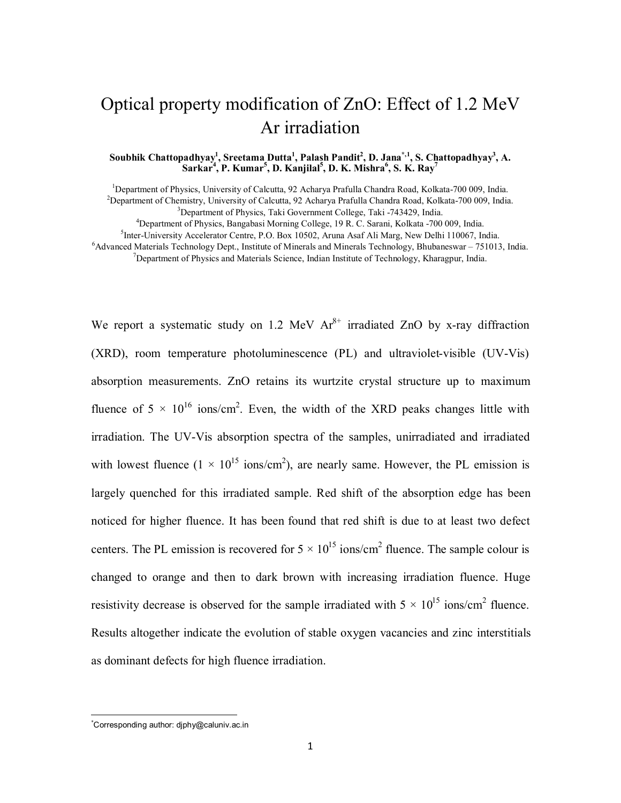# Optical property modification of ZnO: Effect of 1.2 MeV Ar irradiation

#### **Soubhik Chattopadhyay<sup>1</sup> , Sreetama Dutta<sup>1</sup> , Palash Pandit<sup>2</sup> , D. Jana\*,1 , S. Chattopadhyay<sup>3</sup> , A. Sarkar<sup>4</sup> , P. Kumar<sup>5</sup> , D. Kanjilal<sup>5</sup> , D. K. Mishra<sup>6</sup> , S. K. Ray<sup>7</sup>**

<sup>1</sup>Department of Physics, University of Calcutta, 92 Acharya Prafulla Chandra Road, Kolkata-700 009, India. <sup>2</sup>Department of Chemistry, University of Calcutta, 92 Acharya Prafulla Chandra Road, Kolkata-700 009, India. <sup>3</sup>Department of Physics, Taki Government College, Taki -743429, India.

<sup>4</sup>Department of Physics, Bangabasi Morning College, 19 R. C. Sarani, Kolkata -700 009, India.

5 Inter-University Accelerator Centre, P.O. Box 10502, Aruna Asaf Ali Marg, New Delhi 110067, India.

 $6A$ dvanced Materials Technology Dept., Institute of Minerals and Minerals Technology, Bhubaneswar – 751013, India. <sup>7</sup>Department of Physics and Materials Science, Indian Institute of Technology, Kharagpur, India.

We report a systematic study on 1.2 MeV  $Ar^{8+}$  irradiated ZnO by x-ray diffraction (XRD), room temperature photoluminescence (PL) and ultraviolet-visible (UV-Vis) absorption measurements. ZnO retains its wurtzite crystal structure up to maximum fluence of  $5 \times 10^{16}$  ions/cm<sup>2</sup>. Even, the width of the XRD peaks changes little with irradiation. The UV-Vis absorption spectra of the samples, unirradiated and irradiated with lowest fluence  $(1 \times 10^{15} \text{ ions/cm}^2)$ , are nearly same. However, the PL emission is largely quenched for this irradiated sample. Red shift of the absorption edge has been noticed for higher fluence. It has been found that red shift is due to at least two defect centers. The PL emission is recovered for  $5 \times 10^{15}$  ions/cm<sup>2</sup> fluence. The sample colour is changed to orange and then to dark brown with increasing irradiation fluence. Huge resistivity decrease is observed for the sample irradiated with  $5 \times 10^{15}$  ions/cm<sup>2</sup> fluence. Results altogether indicate the evolution of stable oxygen vacancies and zinc interstitials as dominant defects for high fluence irradiation.

**.** 

<sup>\*</sup>Corresponding author: djphy@caluniv.ac.in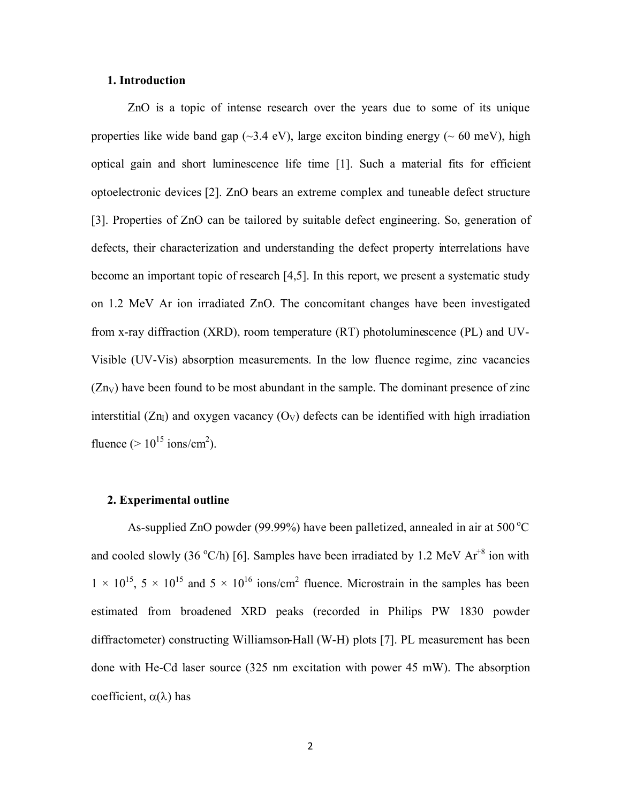#### **1. Introduction**

ZnO is a topic of intense research over the years due to some of its unique properties like wide band gap  $(\sim 3.4 \text{ eV})$ , large exciton binding energy ( $\sim 60 \text{ meV}$ ), high optical gain and short luminescence life time [1]. Such a material fits for efficient optoelectronic devices [2]. ZnO bears an extreme complex and tuneable defect structure [3]. Properties of ZnO can be tailored by suitable defect engineering. So, generation of defects, their characterization and understanding the defect property interrelations have become an important topic of research [4,5]. In this report, we present a systematic study on 1.2 MeV Ar ion irradiated ZnO. The concomitant changes have been investigated from x-ray diffraction (XRD), room temperature (RT) photoluminescence (PL) and UV-Visible (UV-Vis) absorption measurements. In the low fluence regime, zinc vacancies  $(Zn_V)$  have been found to be most abundant in the sample. The dominant presence of zinc interstitial  $(Zn_I)$  and oxygen vacancy  $(O_V)$  defects can be identified with high irradiation fluence  $(>10^{15} \text{ ions/cm}^2)$ .

# **2. Experimental outline**

As-supplied ZnO powder (99.99%) have been palletized, annealed in air at  $500^{\circ}$ C and cooled slowly (36  $^{\circ}$ C/h) [6]. Samples have been irradiated by 1.2 MeV Ar<sup>+8</sup> ion with  $1 \times 10^{15}$ ,  $5 \times 10^{15}$  and  $5 \times 10^{16}$  ions/cm<sup>2</sup> fluence. Microstrain in the samples has been estimated from broadened XRD peaks (recorded in Philips PW 1830 powder diffractometer) constructing Williamson-Hall (W-H) plots [7]. PL measurement has been done with He-Cd laser source (325 nm excitation with power 45 mW). The absorption coefficient,  $\alpha(\lambda)$  has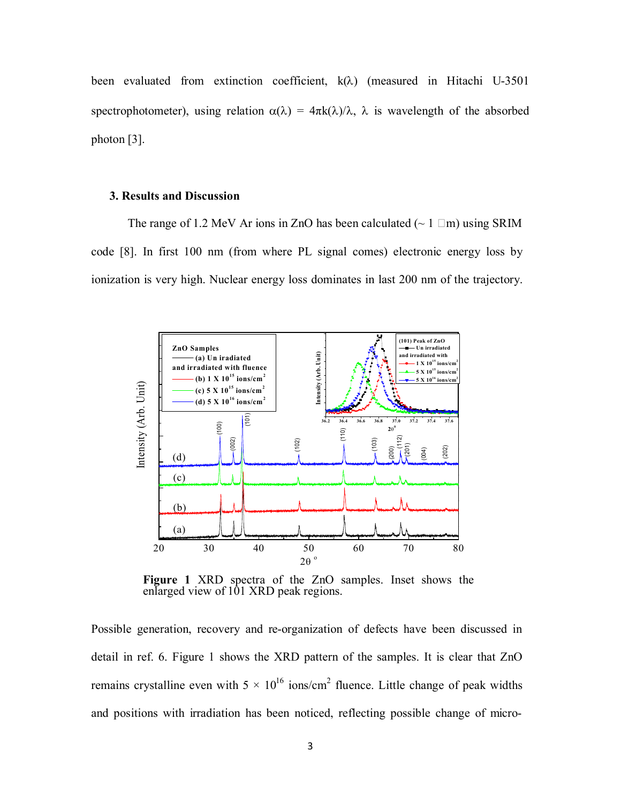been evaluated from extinction coefficient,  $k(\lambda)$  (measured in Hitachi U-3501 spectrophotometer), using relation  $\alpha(\lambda) = 4\pi k(\lambda)/\lambda$ ,  $\lambda$  is wavelength of the absorbed photon [3].

## **3. Results and Discussion**

The range of 1.2 MeV Ar ions in ZnO has been calculated ( $\sim 1$   $\Box$ m) using SRIM code [8]. In first 100 nm (from where PL signal comes) electronic energy loss by ionization is very high. Nuclear energy loss dominates in last 200 nm of the trajectory.



**Figure 1** XRD spectra of the ZnO samples. Inset shows the enlarged view of 101 XRD peak regions.

Possible generation, recovery and re-organization of defects have been discussed in detail in ref. 6. Figure 1 shows the XRD pattern of the samples. It is clear that ZnO remains crystalline even with  $5 \times 10^{16}$  ions/cm<sup>2</sup> fluence. Little change of peak widths and positions with irradiation has been noticed, reflecting possible change of micro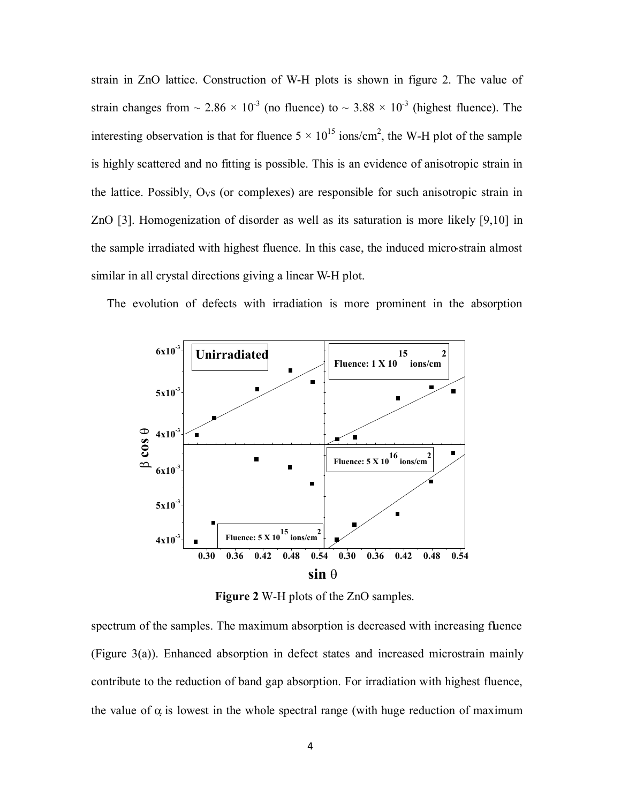strain in ZnO lattice. Construction of W-H plots is shown in figure 2. The value of strain changes from  $\sim 2.86 \times 10^3$  (no fluence) to  $\sim 3.88 \times 10^3$  (highest fluence). The interesting observation is that for fluence  $5 \times 10^{15}$  ions/cm<sup>2</sup>, the W-H plot of the sample is highly scattered and no fitting is possible. This is an evidence of anisotropic strain in the lattice. Possibly,  $O<sub>VS</sub>$  (or complexes) are responsible for such anisotropic strain in ZnO [3]. Homogenization of disorder as well as its saturation is more likely [9,10] in the sample irradiated with highest fluence. In this case, the induced micro-strain almost similar in all crystal directions giving a linear W-H plot.

The evolution of defects with irradiation is more prominent in the absorption



**Figure 2** W-H plots of the ZnO samples.

spectrum of the samples. The maximum absorption is decreased with increasing fluence (Figure 3(a)). Enhanced absorption in defect states and increased microstrain mainly contribute to the reduction of band gap absorption. For irradiation with highest fluence, the value of  $\alpha$  is lowest in the whole spectral range (with huge reduction of maximum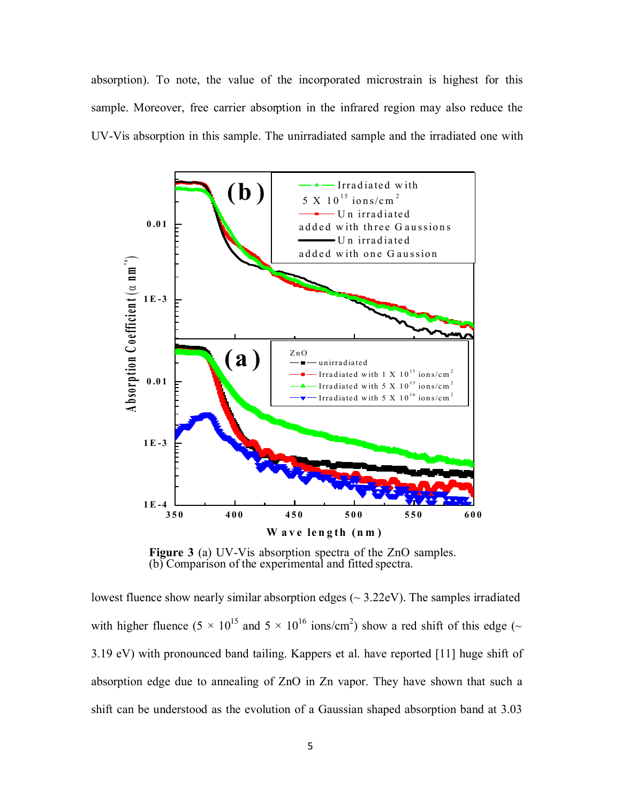absorption). To note, the value of the incorporated microstrain is highest for this sample. Moreover, free carrier absorption in the infrared region may also reduce the



**(b)** Comparison of the experimental and fitted spectra.

lowest fluence show nearly similar absorption edges  $(\sim 3.22 \text{eV})$ . The samples irradiated with higher fluence (5  $\times$  10<sup>15</sup> and 5  $\times$  10<sup>16</sup> ions/cm<sup>2</sup>) show a red shift of this edge ( $\sim$ 3.19 eV) with pronounced band tailing. Kappers et al. have reported [11] huge shift of absorption edge due to annealing of ZnO in Zn vapor. They have shown that such a shift can be understood as the evolution of a Gaussian shaped absorption band at 3.03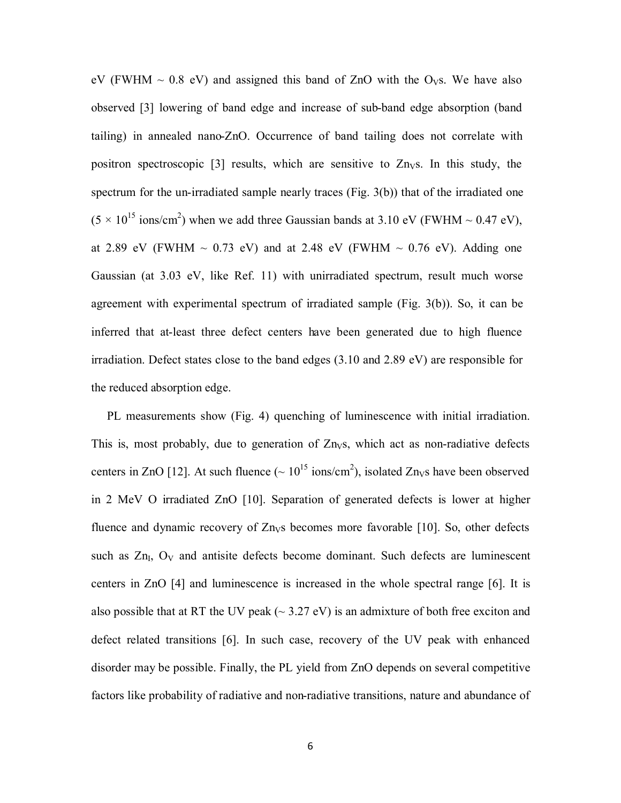eV (FWHM  $\sim$  0.8 eV) and assigned this band of ZnO with the O<sub>VS</sub>. We have also observed [3] lowering of band edge and increase of sub-band edge absorption (band tailing) in annealed nano-ZnO. Occurrence of band tailing does not correlate with positron spectroscopic [3] results, which are sensitive to  $Zn<sub>V</sub>$ s. In this study, the spectrum for the un-irradiated sample nearly traces (Fig. 3(b)) that of the irradiated one  $(5 \times 10^{15} \text{ ions/cm}^2)$  when we add three Gaussian bands at 3.10 eV (FWHM  $\sim 0.47$  eV), at 2.89 eV (FWHM  $\sim$  0.73 eV) and at 2.48 eV (FWHM  $\sim$  0.76 eV). Adding one Gaussian (at 3.03 eV, like Ref. 11) with unirradiated spectrum, result much worse agreement with experimental spectrum of irradiated sample (Fig. 3(b)). So, it can be inferred that at-least three defect centers have been generated due to high fluence irradiation. Defect states close to the band edges (3.10 and 2.89 eV) are responsible for the reduced absorption edge.

PL measurements show (Fig. 4) quenching of luminescence with initial irradiation. This is, most probably, due to generation of  $Zn<sub>VS</sub>$ , which act as non-radiative defects centers in ZnO [12]. At such fluence ( $\sim 10^{15}$  ions/cm<sup>2</sup>), isolated Zn<sub>V</sub>s have been observed in 2 MeV O irradiated ZnO [10]. Separation of generated defects is lower at higher fluence and dynamic recovery of  $Zn<sub>V</sub>$ s becomes more favorable [10]. So, other defects such as  $Zn<sub>I</sub>$ ,  $O<sub>V</sub>$  and antisite defects become dominant. Such defects are luminescent centers in ZnO [4] and luminescence is increased in the whole spectral range [6]. It is also possible that at RT the UV peak  $(\sim 3.27 \text{ eV})$  is an admixture of both free exciton and defect related transitions [6]. In such case, recovery of the UV peak with enhanced disorder may be possible. Finally, the PL yield from ZnO depends on several competitive factors like probability of radiative and non-radiative transitions, nature and abundance of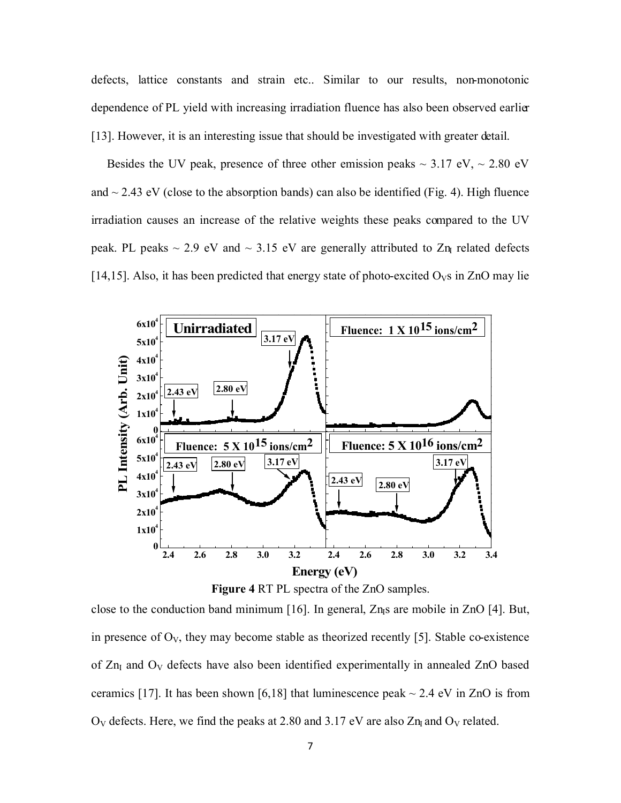defects, lattice constants and strain etc.. Similar to our results, non-monotonic dependence of PL yield with increasing irradiation fluence has also been observed earlier [13]. However, it is an interesting issue that should be investigated with greater detail.

Besides the UV peak, presence of three other emission peaks  $\sim 3.17$  eV,  $\sim 2.80$  eV and  $\sim$  2.43 eV (close to the absorption bands) can also be identified (Fig. 4). High fluence irradiation causes an increase of the relative weights these peaks compared to the UV peak. PL peaks  $\sim$  2.9 eV and  $\sim$  3.15 eV are generally attributed to Zn related defects [14,15]. Also, it has been predicted that energy state of photo-excited  $O<sub>V</sub>$ s in ZnO may lie



**Figure 4** RT PL spectra of the ZnO samples.

close to the conduction band minimum [16]. In general,  $Zn<sub>l</sub>$ s are mobile in  $ZnO$  [4]. But, in presence of  $O_V$ , they may become stable as theorized recently [5]. Stable co-existence of  $Zn<sub>I</sub>$  and  $O<sub>V</sub>$  defects have also been identified experimentally in annealed  $ZnO$  based ceramics [17]. It has been shown [6,18] that luminescence peak  $\sim$  2.4 eV in ZnO is from  $O_V$  defects. Here, we find the peaks at 2.80 and 3.17 eV are also  $Zn<sub>I</sub>$  and  $O_V$  related.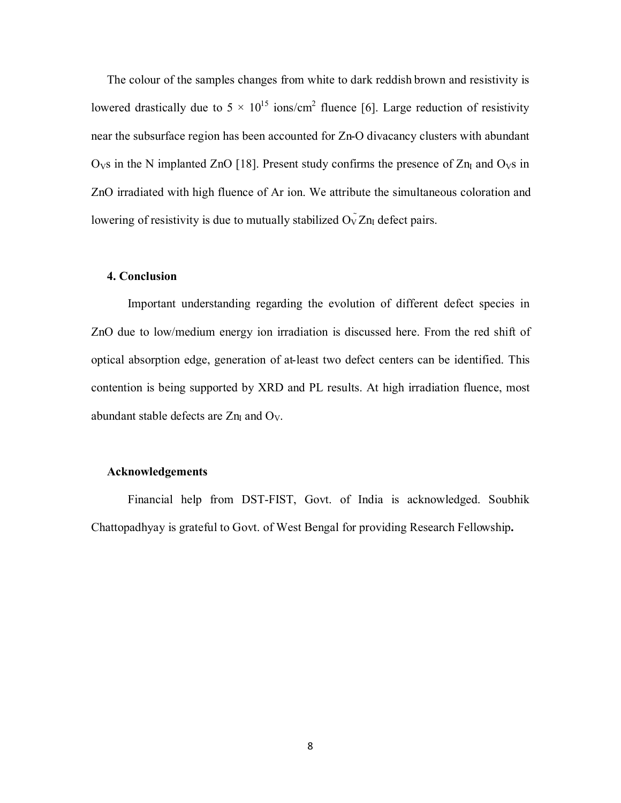The colour of the samples changes from white to dark reddish brown and resistivity is lowered drastically due to  $5 \times 10^{15}$  ions/cm<sup>2</sup> fluence [6]. Large reduction of resistivity near the subsurface region has been accounted for Zn-O divacancy clusters with abundant  $O<sub>V</sub>$ s in the N implanted ZnO [18]. Present study confirms the presence of Zn<sub>I</sub> and  $O<sub>V</sub>$ s in ZnO irradiated with high fluence of Ar ion. We attribute the simultaneous coloration and lowering of resistivity is due to mutually stabilized  $O_V \bar{Z} n_I$  defect pairs.

## **4. Conclusion**

Important understanding regarding the evolution of different defect species in ZnO due to low/medium energy ion irradiation is discussed here. From the red shift of optical absorption edge, generation of at-least two defect centers can be identified. This contention is being supported by XRD and PL results. At high irradiation fluence, most abundant stable defects are  $Zn<sub>I</sub>$  and  $O<sub>V</sub>$ .

#### **Acknowledgements**

Financial help from DST-FIST, Govt. of India is acknowledged. Soubhik Chattopadhyay is grateful to Govt. of West Bengal for providing Research Fellowship**.**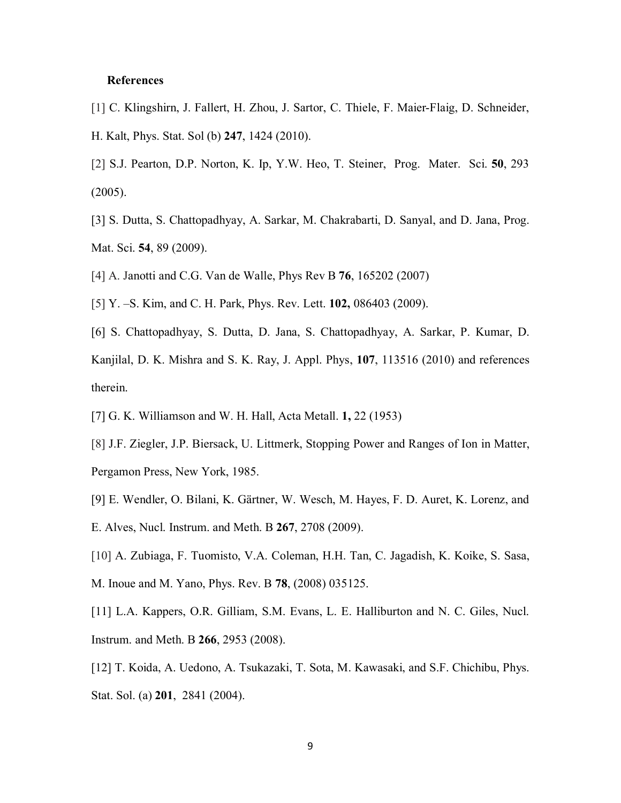## **References**

- [1] C. Klingshirn, J. Fallert, H. Zhou, J. Sartor, C. Thiele, F. Maier-Flaig, D. Schneider, H. Kalt, Phys. Stat. Sol (b) **247**, 1424 (2010).
- [2] S.J. Pearton, D.P. Norton, K. Ip, Y.W. Heo, T. Steiner, Prog. Mater. Sci. **50**, 293 (2005).
- [3] S. Dutta, S. Chattopadhyay, A. Sarkar, M. Chakrabarti, D. Sanyal, and D. Jana, Prog. Mat. Sci. **54**, 89 (2009).
- [4] A. Janotti and C.G. Van de Walle, Phys Rev B **76**, 165202 (2007)
- [5] Y. –S. Kim, and C. H. Park, Phys. Rev. Lett. **102,** 086403 (2009).
- [6] S. Chattopadhyay, S. Dutta, D. Jana, S. Chattopadhyay, A. Sarkar, P. Kumar, D. Kanjilal, D. K. Mishra and S. K. Ray, J. Appl. Phys, **107**, 113516 (2010) and references therein.
- [7] G. K. Williamson and W. H. Hall, Acta Metall. **1,** 22 (1953)
- [8] J.F. Ziegler, J.P. Biersack, U. Littmerk, Stopping Power and Ranges of Ion in Matter, Pergamon Press, New York, 1985.
- [9] E. Wendler, O. Bilani, K. Gärtner, W. Wesch, M. Hayes, F. D. Auret, K. Lorenz, and E. Alves, Nucl. Instrum. and Meth. B **267**, 2708 (2009).
- [10] A. Zubiaga, F. Tuomisto, V.A. Coleman, H.H. Tan, C. Jagadish, K. Koike, S. Sasa, M. Inoue and M. Yano, Phys. Rev. B **78**, (2008) 035125.
- [11] L.A. Kappers, O.R. Gilliam, S.M. Evans, L. E. Halliburton and N. C. Giles, Nucl. Instrum. and Meth. B **266**, 2953 (2008).
- [12] T. Koida, A. Uedono, A. Tsukazaki, T. Sota, M. Kawasaki, and S.F. Chichibu, Phys. Stat. Sol. (a) **201**, 2841 (2004).